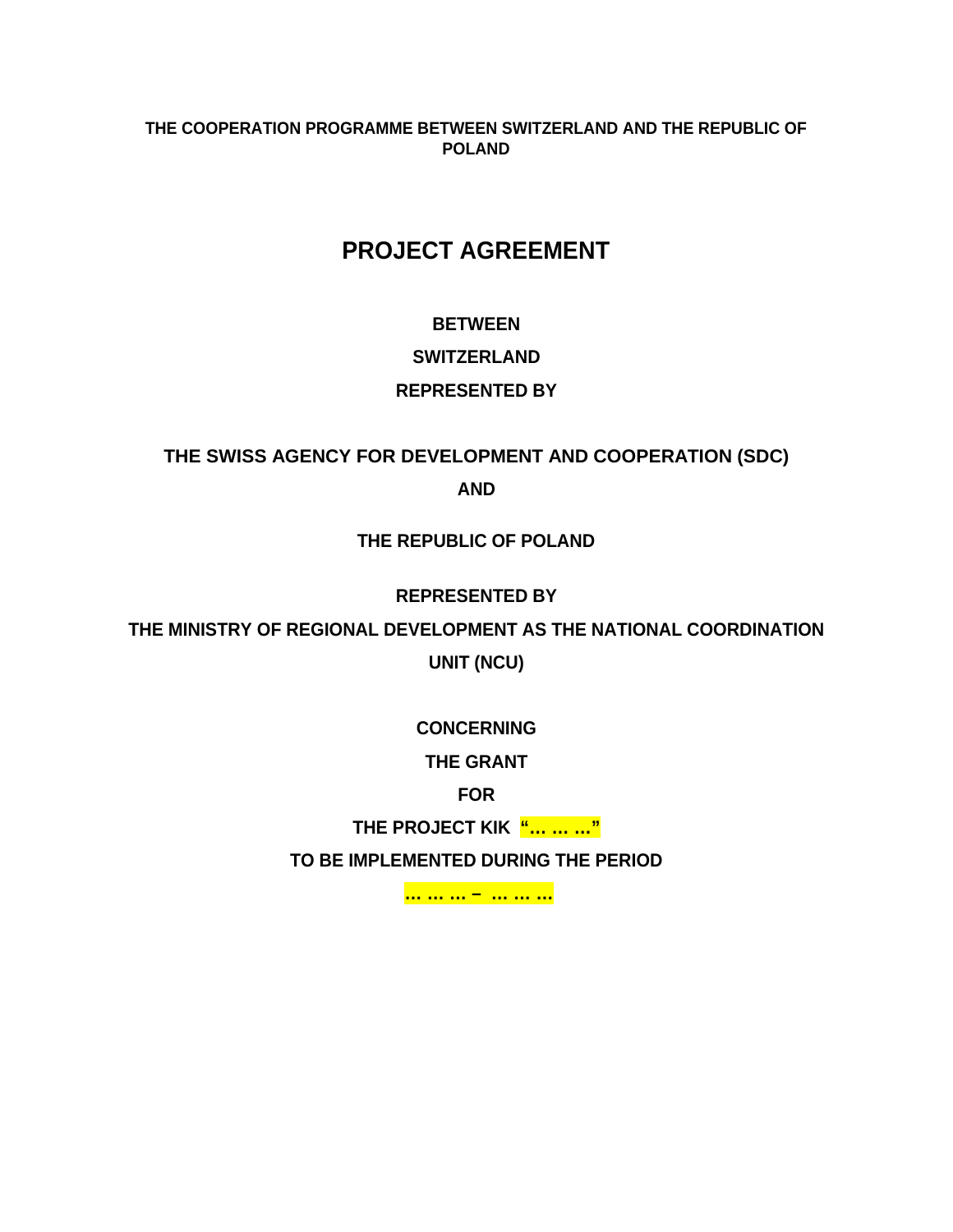#### **THE COOPERATION PROGRAMME BETWEEN SWITZERLAND AND THE REPUBLIC OF POLAND**

# **PROJECT AGREEMENT**

# **BETWEEN SWITZERLAND REPRESENTED BY**

# **THE SWISS AGENCY FOR DEVELOPMENT AND COOPERATION (SDC) AND**

## **THE REPUBLIC OF POLAND**

## **REPRESENTED BY**

**THE MINISTRY OF REGIONAL DEVELOPMENT AS THE NATIONAL COORDINATION** 

**UNIT (NCU)** 

**CONCERNING** 

**THE GRANT** 

**FOR** 

**THE PROJECT KIK "… … …"** 

**TO BE IMPLEMENTED DURING THE PERIOD** 

 **… … … – … … …**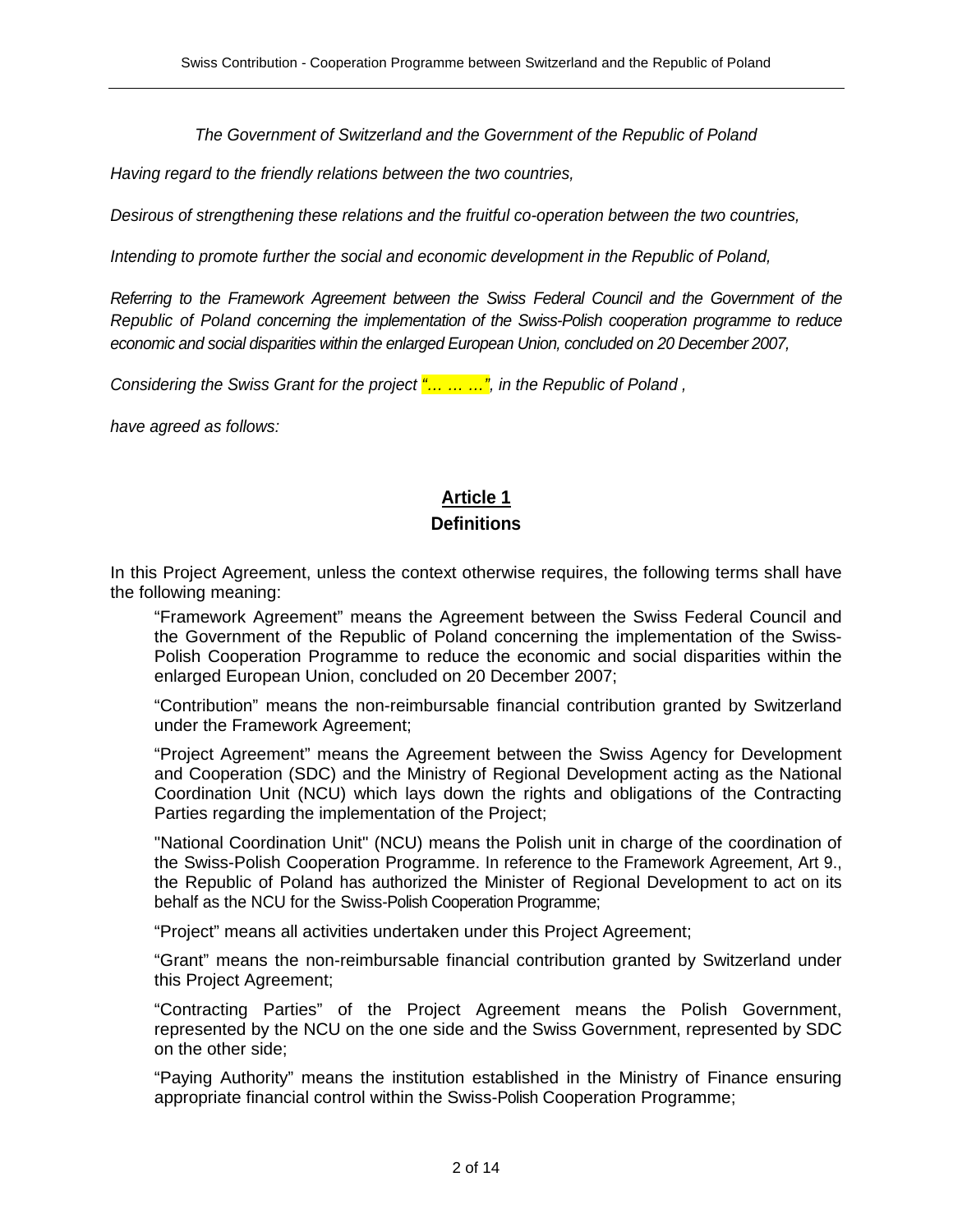The Government of Switzerland and the Government of the Republic of Poland

Having regard to the friendly relations between the two countries,

Desirous of strengthening these relations and the fruitful co-operation between the two countries,

Intending to promote further the social and economic development in the Republic of Poland,

Referring to the Framework Agreement between the Swiss Federal Council and the Government of the Republic of Poland concerning the implementation of the Swiss-Polish cooperation programme to reduce economic and social disparities within the enlarged European Union, concluded on 20 December 2007,

Considering the Swiss Grant for the project  $\frac{m}{n}$   $\ldots$   $\ldots$ , in the Republic of Poland,

have agreed as follows:

# **Article 1**

#### **Definitions**

In this Project Agreement, unless the context otherwise requires, the following terms shall have the following meaning:

"Framework Agreement" means the Agreement between the Swiss Federal Council and the Government of the Republic of Poland concerning the implementation of the Swiss-Polish Cooperation Programme to reduce the economic and social disparities within the enlarged European Union, concluded on 20 December 2007;

"Contribution" means the non-reimbursable financial contribution granted by Switzerland under the Framework Agreement;

"Project Agreement" means the Agreement between the Swiss Agency for Development and Cooperation (SDC) and the Ministry of Regional Development acting as the National Coordination Unit (NCU) which lays down the rights and obligations of the Contracting Parties regarding the implementation of the Project;

"National Coordination Unit" (NCU) means the Polish unit in charge of the coordination of the Swiss-Polish Cooperation Programme. In reference to the Framework Agreement, Art 9., the Republic of Poland has authorized the Minister of Regional Development to act on its behalf as the NCU for the Swiss-Polish Cooperation Programme;

"Project" means all activities undertaken under this Project Agreement;

"Grant" means the non-reimbursable financial contribution granted by Switzerland under this Project Agreement;

"Contracting Parties" of the Project Agreement means the Polish Government, represented by the NCU on the one side and the Swiss Government, represented by SDC on the other side;

"Paying Authority" means the institution established in the Ministry of Finance ensuring appropriate financial control within the Swiss-Polish Cooperation Programme;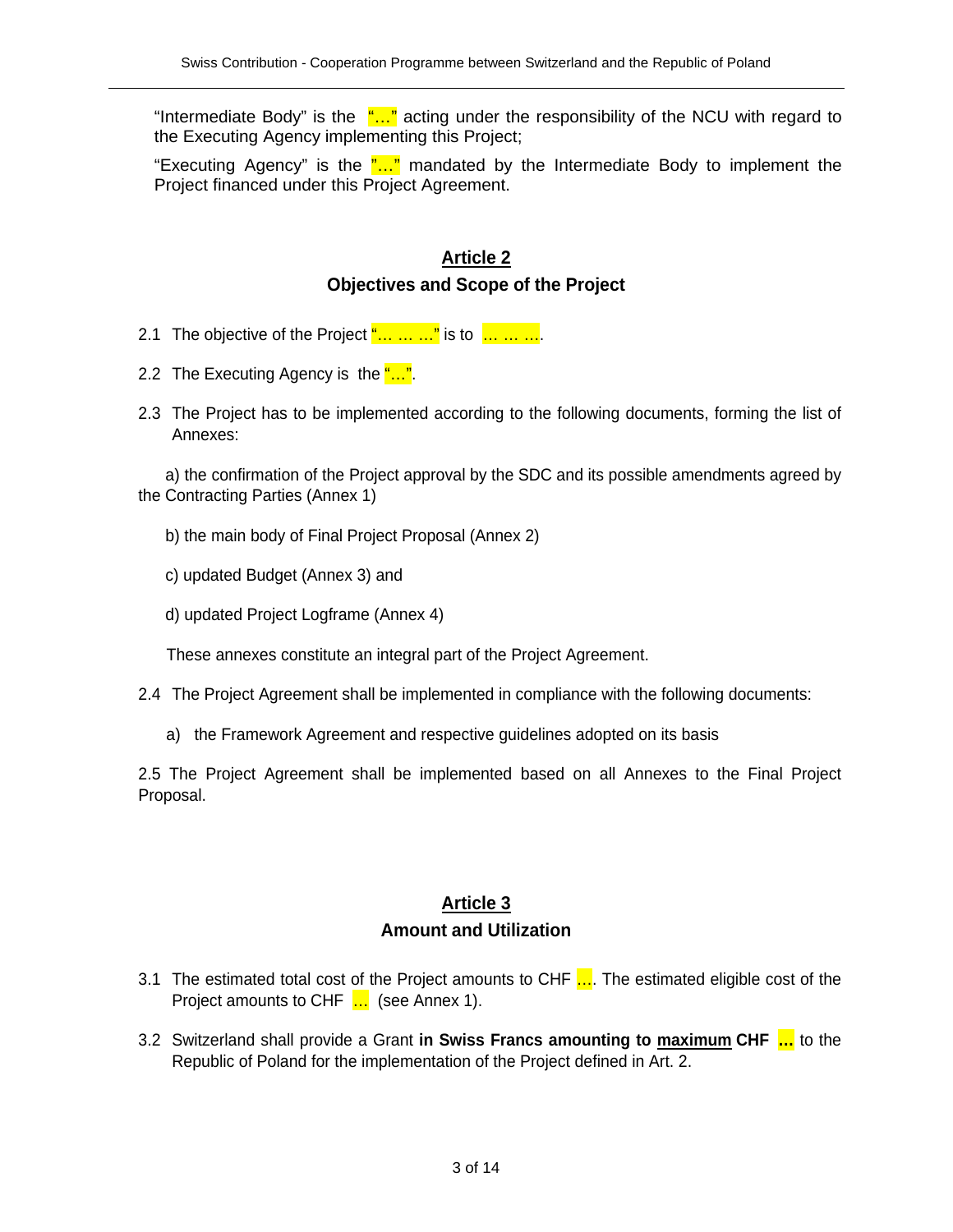"Intermediate Body" is the  $\frac{m}{n}$  acting under the responsibility of the NCU with regard to the Executing Agency implementing this Project;

"Executing Agency" is the  $\frac{n}{n}$  mandated by the Intermediate Body to implement the Project financed under this Project Agreement.

### **Article 2 Objectives and Scope of the Project**

- 2.1 The objective of the Project  $\frac{m}{2}$  is to  $\frac{m}{2}$  in  $\frac{m}{2}$ .
- 2.2 The Executing Agency is the "...".
- 2.3 The Project has to be implemented according to the following documents, forming the list of Annexes:

a) the confirmation of the Project approval by the SDC and its possible amendments agreed by the Contracting Parties (Annex 1)

- b) the main body of Final Project Proposal (Annex 2)
- c) updated Budget (Annex 3) and
- d) updated Project Logframe (Annex 4)

These annexes constitute an integral part of the Project Agreement.

- 2.4 The Project Agreement shall be implemented in compliance with the following documents:
	- a) the Framework Agreement and respective guidelines adopted on its basis

2.5 The Project Agreement shall be implemented based on all Annexes to the Final Project Proposal.

# **Article 3 Amount and Utilization**

- 3.1 The estimated total cost of the Project amounts to CHF .... The estimated eligible cost of the Project amounts to CHF ... (see Annex 1).
- 3.2 Switzerland shall provide a Grant **in Swiss Francs amounting to maximum CHF …** to the Republic of Poland for the implementation of the Project defined in Art. 2.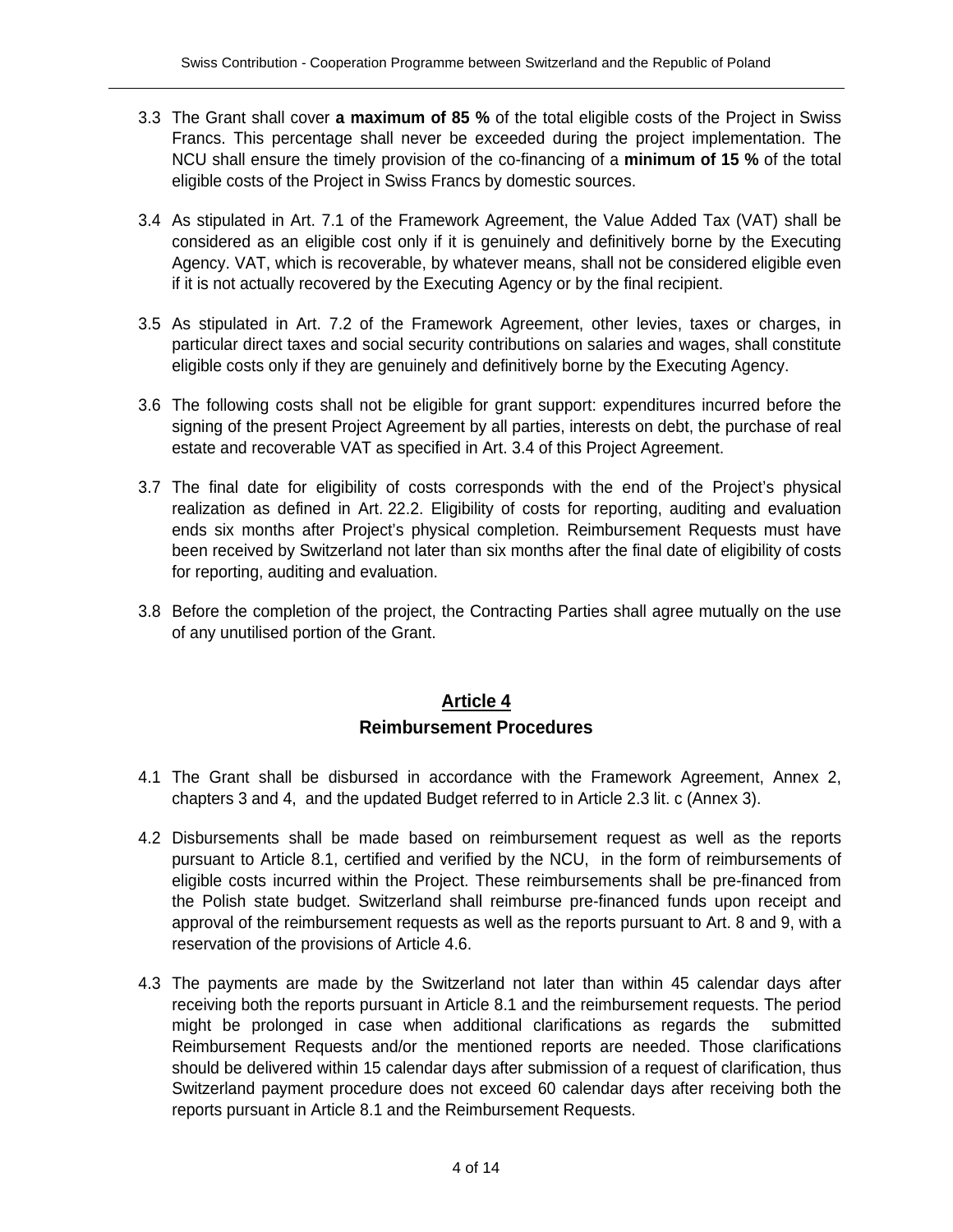- 3.3 The Grant shall cover **a maximum of 85 %** of the total eligible costs of the Project in Swiss Francs. This percentage shall never be exceeded during the project implementation. The NCU shall ensure the timely provision of the co-financing of a **minimum of 15 %** of the total eligible costs of the Project in Swiss Francs by domestic sources.
- 3.4 As stipulated in Art. 7.1 of the Framework Agreement, the Value Added Tax (VAT) shall be considered as an eligible cost only if it is genuinely and definitively borne by the Executing Agency. VAT, which is recoverable, by whatever means, shall not be considered eligible even if it is not actually recovered by the Executing Agency or by the final recipient.
- 3.5 As stipulated in Art. 7.2 of the Framework Agreement, other levies, taxes or charges, in particular direct taxes and social security contributions on salaries and wages, shall constitute eligible costs only if they are genuinely and definitively borne by the Executing Agency.
- 3.6 The following costs shall not be eligible for grant support: expenditures incurred before the signing of the present Project Agreement by all parties, interests on debt, the purchase of real estate and recoverable VAT as specified in Art. 3.4 of this Project Agreement.
- 3.7 The final date for eligibility of costs corresponds with the end of the Project's physical realization as defined in Art. 22.2. Eligibility of costs for reporting, auditing and evaluation ends six months after Project's physical completion. Reimbursement Requests must have been received by Switzerland not later than six months after the final date of eligibility of costs for reporting, auditing and evaluation.
- 3.8 Before the completion of the project, the Contracting Parties shall agree mutually on the use of any unutilised portion of the Grant.

# **Article 4 Reimbursement Procedures**

- 4.1 The Grant shall be disbursed in accordance with the Framework Agreement, Annex 2, chapters 3 and 4, and the updated Budget referred to in Article 2.3 lit. c (Annex 3).
- 4.2 Disbursements shall be made based on reimbursement request as well as the reports pursuant to Article 8.1, certified and verified by the NCU, in the form of reimbursements of eligible costs incurred within the Project. These reimbursements shall be pre-financed from the Polish state budget. Switzerland shall reimburse pre-financed funds upon receipt and approval of the reimbursement requests as well as the reports pursuant to Art. 8 and 9, with a reservation of the provisions of Article 4.6.
- 4.3 The payments are made by the Switzerland not later than within 45 calendar days after receiving both the reports pursuant in Article 8.1 and the reimbursement requests. The period might be prolonged in case when additional clarifications as regards the submitted Reimbursement Requests and/or the mentioned reports are needed. Those clarifications should be delivered within 15 calendar days after submission of a request of clarification, thus Switzerland payment procedure does not exceed 60 calendar days after receiving both the reports pursuant in Article 8.1 and the Reimbursement Requests.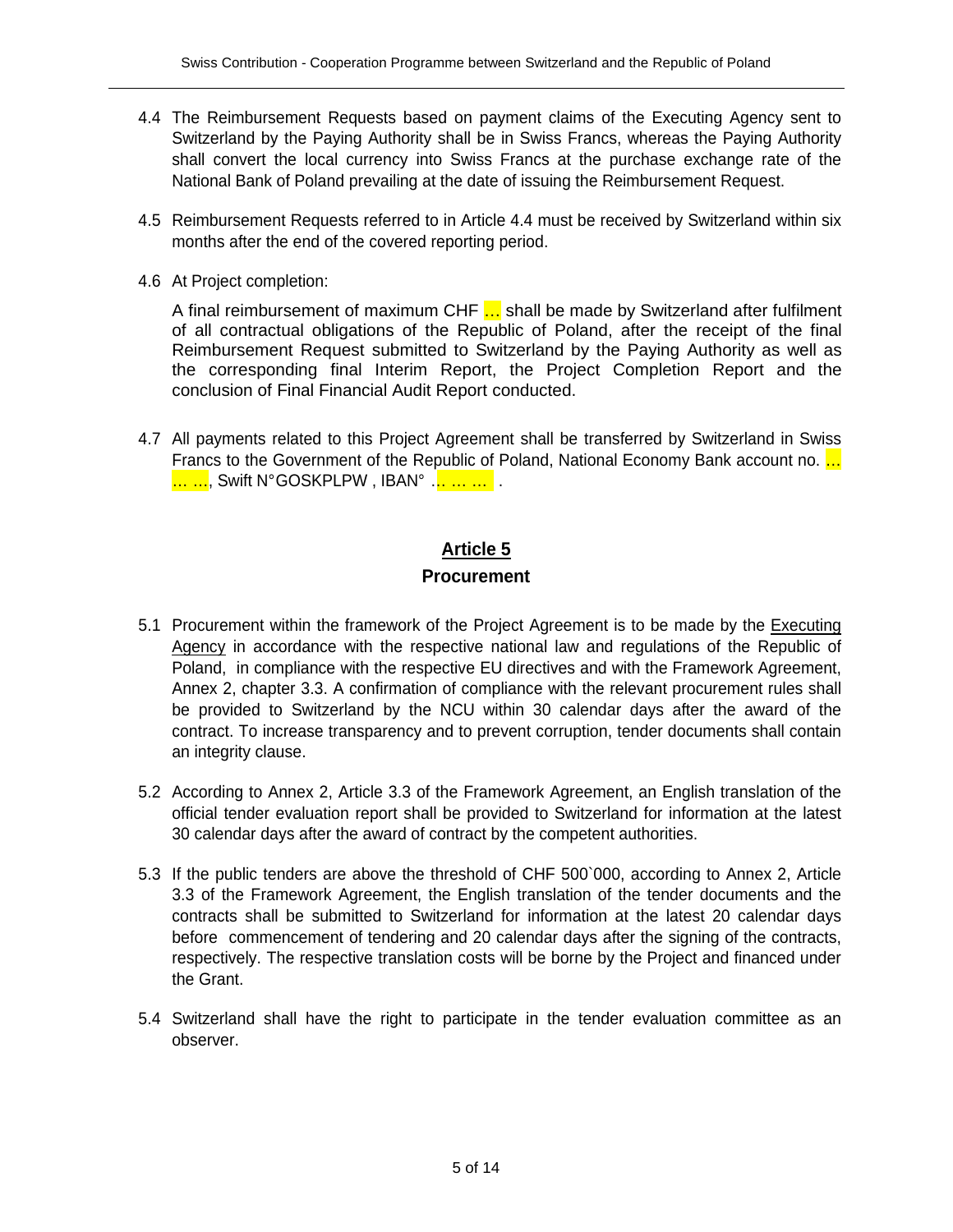- 4.4 The Reimbursement Requests based on payment claims of the Executing Agency sent to Switzerland by the Paying Authority shall be in Swiss Francs, whereas the Paying Authority shall convert the local currency into Swiss Francs at the purchase exchange rate of the National Bank of Poland prevailing at the date of issuing the Reimbursement Request.
- 4.5 Reimbursement Requests referred to in Article 4.4 must be received by Switzerland within six months after the end of the covered reporting period.
- 4.6 At Project completion:

A final reimbursement of maximum CHF ... shall be made by Switzerland after fulfilment of all contractual obligations of the Republic of Poland, after the receipt of the final Reimbursement Request submitted to Switzerland by the Paying Authority as well as the corresponding final Interim Report, the Project Completion Report and the conclusion of Final Financial Audit Report conducted.

4.7 All payments related to this Project Agreement shall be transferred by Switzerland in Swiss Francs to the Government of the Republic of Poland, National Economy Bank account no. ... <mark>… …</mark>, Swift N°GOSKPLPW , IBAN° … … … .

#### **Article 5**

#### **Procurement**

- 5.1 Procurement within the framework of the Project Agreement is to be made by the Executing Agency in accordance with the respective national law and regulations of the Republic of Poland, in compliance with the respective EU directives and with the Framework Agreement, Annex 2, chapter 3.3. A confirmation of compliance with the relevant procurement rules shall be provided to Switzerland by the NCU within 30 calendar days after the award of the contract. To increase transparency and to prevent corruption, tender documents shall contain an integrity clause.
- 5.2 According to Annex 2, Article 3.3 of the Framework Agreement, an English translation of the official tender evaluation report shall be provided to Switzerland for information at the latest 30 calendar days after the award of contract by the competent authorities.
- 5.3 If the public tenders are above the threshold of CHF 500`000, according to Annex 2, Article 3.3 of the Framework Agreement, the English translation of the tender documents and the contracts shall be submitted to Switzerland for information at the latest 20 calendar days before commencement of tendering and 20 calendar days after the signing of the contracts, respectively. The respective translation costs will be borne by the Project and financed under the Grant.
- 5.4 Switzerland shall have the right to participate in the tender evaluation committee as an observer.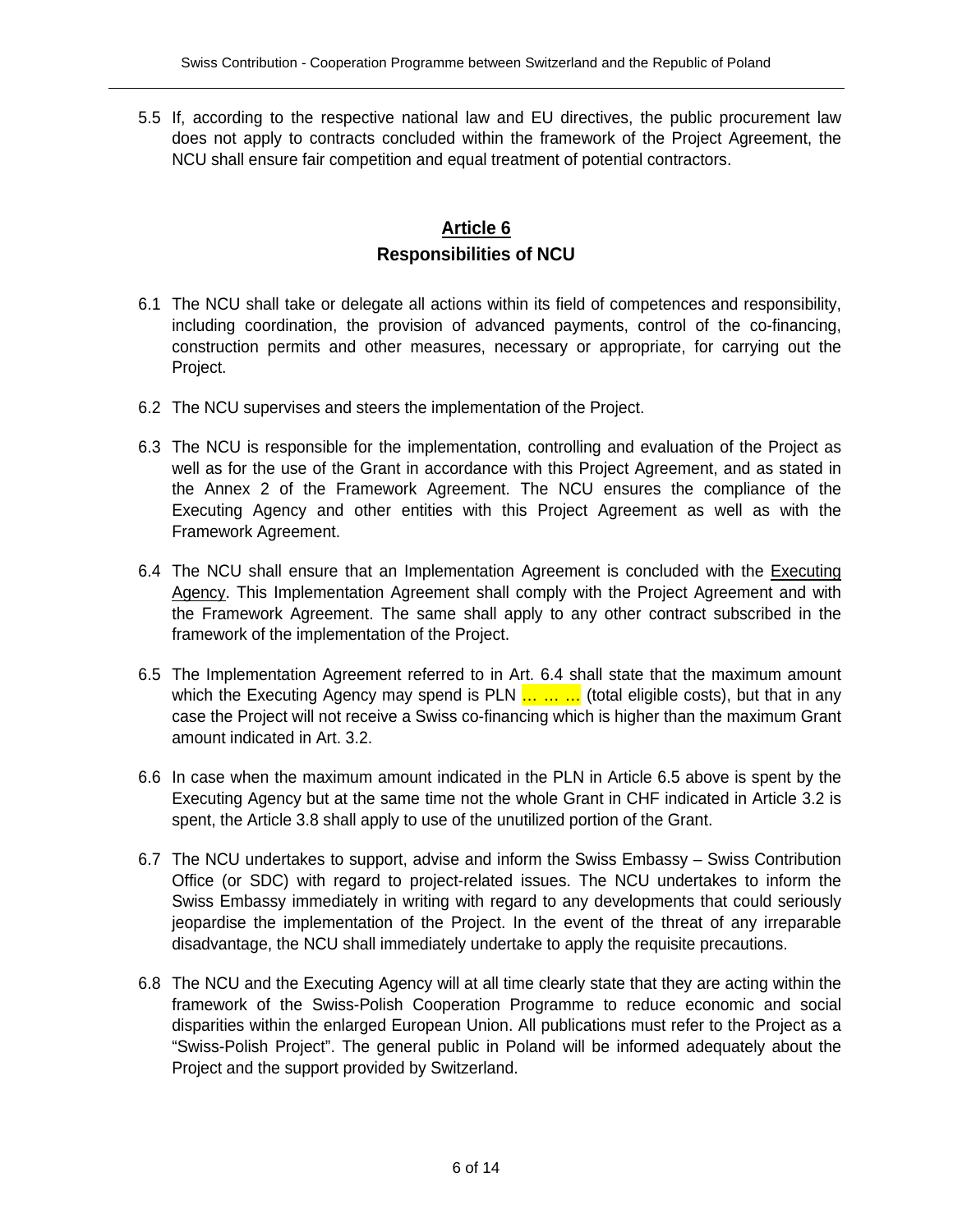5.5 If, according to the respective national law and EU directives, the public procurement law does not apply to contracts concluded within the framework of the Project Agreement, the NCU shall ensure fair competition and equal treatment of potential contractors.

## **Article 6 Responsibilities of NCU**

- 6.1 The NCU shall take or delegate all actions within its field of competences and responsibility, including coordination, the provision of advanced payments, control of the co-financing, construction permits and other measures, necessary or appropriate, for carrying out the Project.
- 6.2 The NCU supervises and steers the implementation of the Project.
- 6.3 The NCU is responsible for the implementation, controlling and evaluation of the Project as well as for the use of the Grant in accordance with this Project Agreement, and as stated in the Annex 2 of the Framework Agreement. The NCU ensures the compliance of the Executing Agency and other entities with this Project Agreement as well as with the Framework Agreement.
- 6.4 The NCU shall ensure that an Implementation Agreement is concluded with the **Executing** Agency. This Implementation Agreement shall comply with the Project Agreement and with the Framework Agreement. The same shall apply to any other contract subscribed in the framework of the implementation of the Project.
- 6.5 The Implementation Agreement referred to in Art. 6.4 shall state that the maximum amount which the Executing Agency may spend is PLN  $\ldots \ldots$  (total eligible costs), but that in any case the Project will not receive a Swiss co-financing which is higher than the maximum Grant amount indicated in Art. 3.2.
- 6.6 In case when the maximum amount indicated in the PLN in Article 6.5 above is spent by the Executing Agency but at the same time not the whole Grant in CHF indicated in Article 3.2 is spent, the Article 3.8 shall apply to use of the unutilized portion of the Grant.
- 6.7 The NCU undertakes to support, advise and inform the Swiss Embassy Swiss Contribution Office (or SDC) with regard to project-related issues. The NCU undertakes to inform the Swiss Embassy immediately in writing with regard to any developments that could seriously jeopardise the implementation of the Project. In the event of the threat of any irreparable disadvantage, the NCU shall immediately undertake to apply the requisite precautions.
- 6.8 The NCU and the Executing Agency will at all time clearly state that they are acting within the framework of the Swiss-Polish Cooperation Programme to reduce economic and social disparities within the enlarged European Union. All publications must refer to the Project as a "Swiss-Polish Project". The general public in Poland will be informed adequately about the Project and the support provided by Switzerland.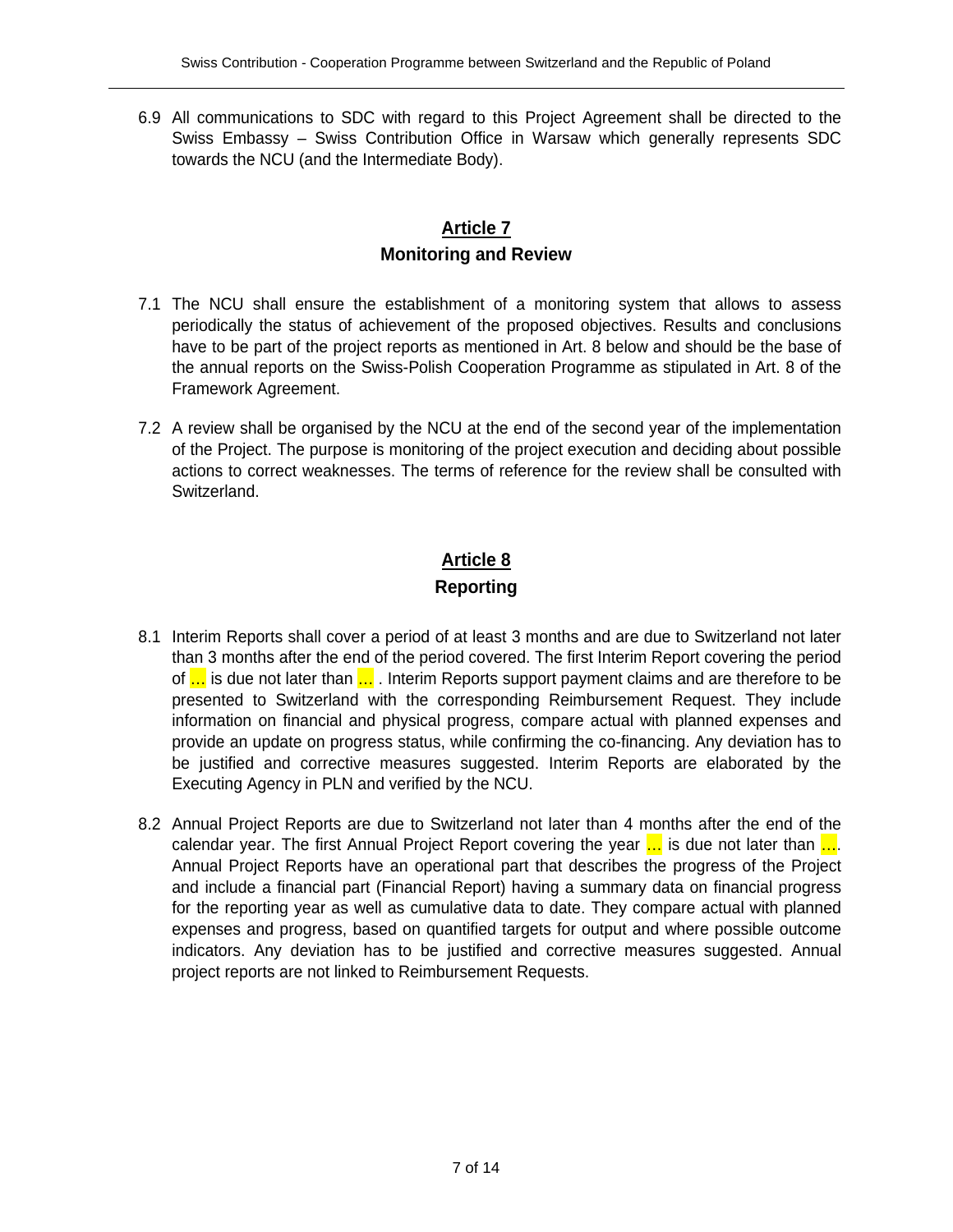6.9 All communications to SDC with regard to this Project Agreement shall be directed to the Swiss Embassy – Swiss Contribution Office in Warsaw which generally represents SDC towards the NCU (and the Intermediate Body).

## **Article 7 Monitoring and Review**

- 7.1 The NCU shall ensure the establishment of a monitoring system that allows to assess periodically the status of achievement of the proposed objectives. Results and conclusions have to be part of the project reports as mentioned in Art. 8 below and should be the base of the annual reports on the Swiss-Polish Cooperation Programme as stipulated in Art. 8 of the Framework Agreement.
- 7.2 A review shall be organised by the NCU at the end of the second year of the implementation of the Project. The purpose is monitoring of the project execution and deciding about possible actions to correct weaknesses. The terms of reference for the review shall be consulted with Switzerland.

# **Article 8 Reporting**

- 8.1 Interim Reports shall cover a period of at least 3 months and are due to Switzerland not later than 3 months after the end of the period covered. The first Interim Report covering the period of ... is due not later than ... Interim Reports support payment claims and are therefore to be presented to Switzerland with the corresponding Reimbursement Request. They include information on financial and physical progress, compare actual with planned expenses and provide an update on progress status, while confirming the co-financing. Any deviation has to be justified and corrective measures suggested. Interim Reports are elaborated by the Executing Agency in PLN and verified by the NCU.
- 8.2 Annual Project Reports are due to Switzerland not later than 4 months after the end of the calendar year. The first Annual Project Report covering the year  $\ldots$  is due not later than  $\ldots$ Annual Project Reports have an operational part that describes the progress of the Project and include a financial part (Financial Report) having a summary data on financial progress for the reporting year as well as cumulative data to date. They compare actual with planned expenses and progress, based on quantified targets for output and where possible outcome indicators. Any deviation has to be justified and corrective measures suggested. Annual project reports are not linked to Reimbursement Requests.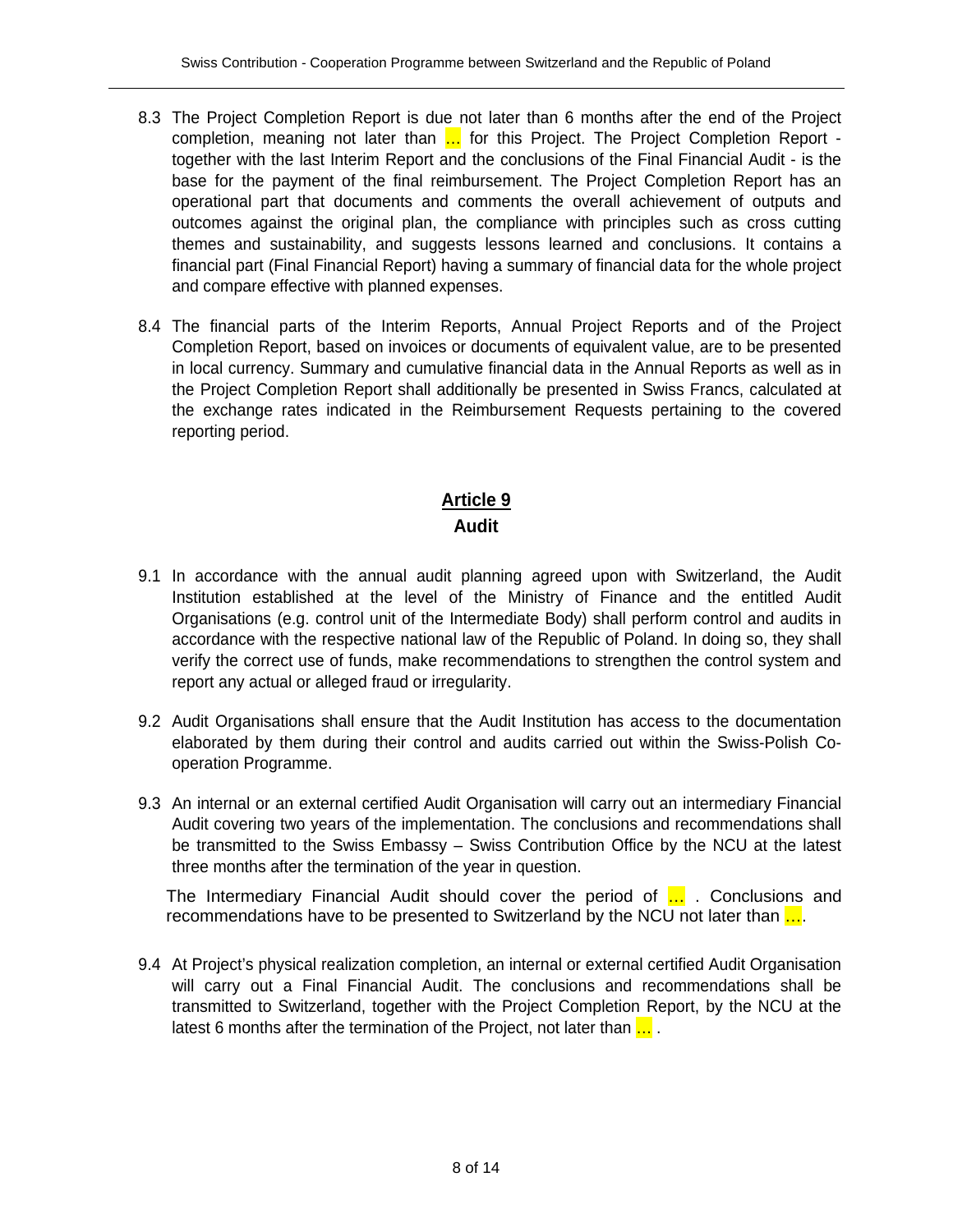- 8.3 The Project Completion Report is due not later than 6 months after the end of the Project completion, meaning not later than ... for this Project. The Project Completion Report together with the last Interim Report and the conclusions of the Final Financial Audit - is the base for the payment of the final reimbursement. The Project Completion Report has an operational part that documents and comments the overall achievement of outputs and outcomes against the original plan, the compliance with principles such as cross cutting themes and sustainability, and suggests lessons learned and conclusions. It contains a financial part (Final Financial Report) having a summary of financial data for the whole project and compare effective with planned expenses.
- 8.4 The financial parts of the Interim Reports, Annual Project Reports and of the Project Completion Report, based on invoices or documents of equivalent value, are to be presented in local currency. Summary and cumulative financial data in the Annual Reports as well as in the Project Completion Report shall additionally be presented in Swiss Francs, calculated at the exchange rates indicated in the Reimbursement Requests pertaining to the covered reporting period.

### **Article 9 Audit**

- 9.1 In accordance with the annual audit planning agreed upon with Switzerland, the Audit Institution established at the level of the Ministry of Finance and the entitled Audit Organisations (e.g. control unit of the Intermediate Body) shall perform control and audits in accordance with the respective national law of the Republic of Poland. In doing so, they shall verify the correct use of funds, make recommendations to strengthen the control system and report any actual or alleged fraud or irregularity.
- 9.2 Audit Organisations shall ensure that the Audit Institution has access to the documentation elaborated by them during their control and audits carried out within the Swiss-Polish Cooperation Programme.
- 9.3 An internal or an external certified Audit Organisation will carry out an intermediary Financial Audit covering two years of the implementation. The conclusions and recommendations shall be transmitted to the Swiss Embassy – Swiss Contribution Office by the NCU at the latest three months after the termination of the year in question.

The Intermediary Financial Audit should cover the period of ... Conclusions and recommendations have to be presented to Switzerland by the NCU not later than  $\ldots$ .

9.4 At Project's physical realization completion, an internal or external certified Audit Organisation will carry out a Final Financial Audit. The conclusions and recommendations shall be transmitted to Switzerland, together with the Project Completion Report, by the NCU at the latest 6 months after the termination of the Project, not later than  $\ldots$ .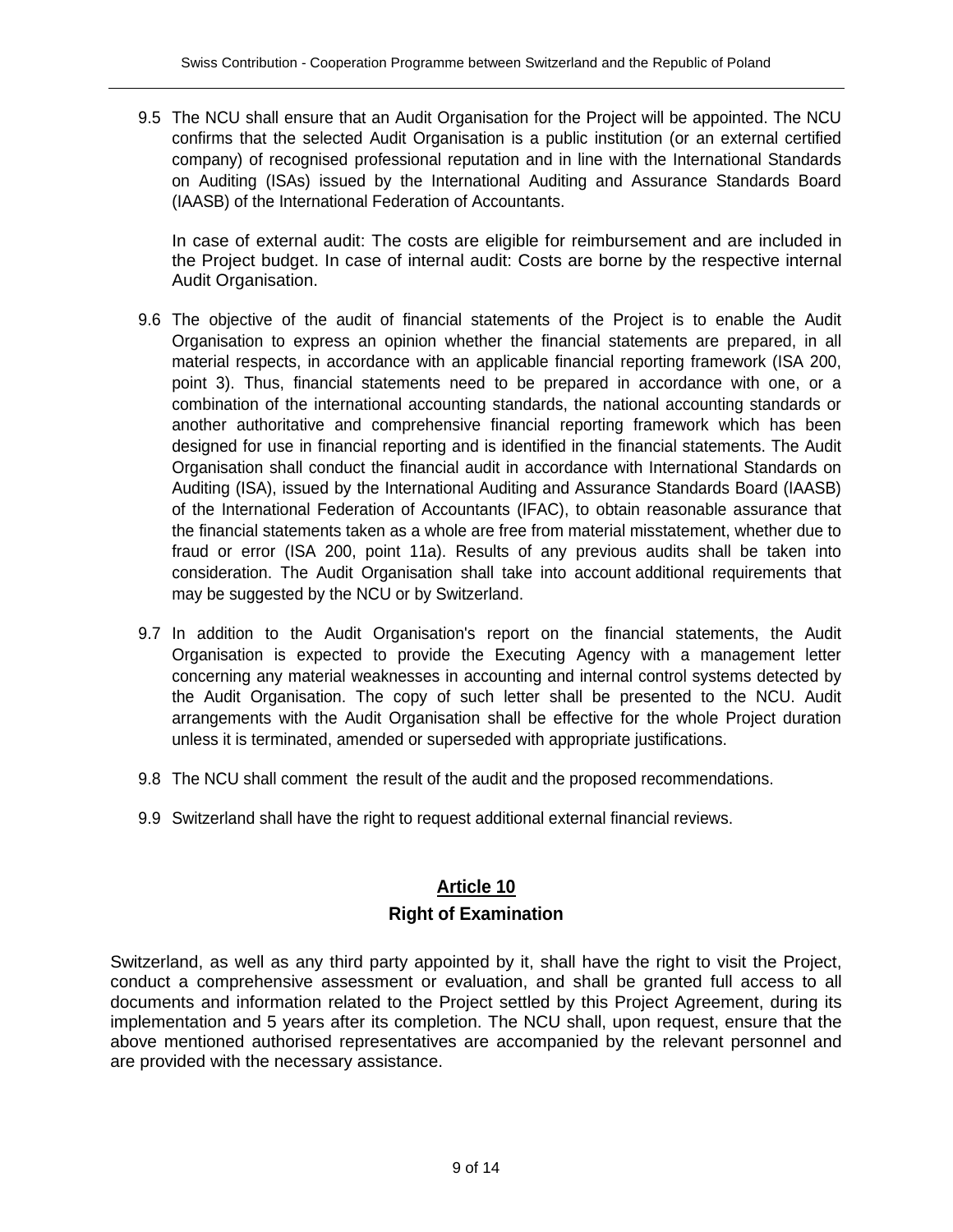9.5 The NCU shall ensure that an Audit Organisation for the Project will be appointed. The NCU confirms that the selected Audit Organisation is a public institution (or an external certified company) of recognised professional reputation and in line with the International Standards on Auditing (ISAs) issued by the International Auditing and Assurance Standards Board (IAASB) of the International Federation of Accountants.

In case of external audit: The costs are eligible for reimbursement and are included in the Project budget. In case of internal audit: Costs are borne by the respective internal Audit Organisation.

- 9.6 The objective of the audit of financial statements of the Project is to enable the Audit Organisation to express an opinion whether the financial statements are prepared, in all material respects, in accordance with an applicable financial reporting framework (ISA 200, point 3). Thus, financial statements need to be prepared in accordance with one, or a combination of the international accounting standards, the national accounting standards or another authoritative and comprehensive financial reporting framework which has been designed for use in financial reporting and is identified in the financial statements. The Audit Organisation shall conduct the financial audit in accordance with International Standards on Auditing (ISA), issued by the International Auditing and Assurance Standards Board (IAASB) of the International Federation of Accountants (IFAC), to obtain reasonable assurance that the financial statements taken as a whole are free from material misstatement, whether due to fraud or error (ISA 200, point 11a). Results of any previous audits shall be taken into consideration. The Audit Organisation shall take into account additional requirements that may be suggested by the NCU or by Switzerland.
- 9.7 In addition to the Audit Organisation's report on the financial statements, the Audit Organisation is expected to provide the Executing Agency with a management letter concerning any material weaknesses in accounting and internal control systems detected by the Audit Organisation. The copy of such letter shall be presented to the NCU. Audit arrangements with the Audit Organisation shall be effective for the whole Project duration unless it is terminated, amended or superseded with appropriate justifications.
- 9.8 The NCU shall comment the result of the audit and the proposed recommendations.
- 9.9 Switzerland shall have the right to request additional external financial reviews.

# **Article 10 Right of Examination**

Switzerland, as well as any third party appointed by it, shall have the right to visit the Project, conduct a comprehensive assessment or evaluation, and shall be granted full access to all documents and information related to the Project settled by this Project Agreement, during its implementation and 5 years after its completion. The NCU shall, upon request, ensure that the above mentioned authorised representatives are accompanied by the relevant personnel and are provided with the necessary assistance.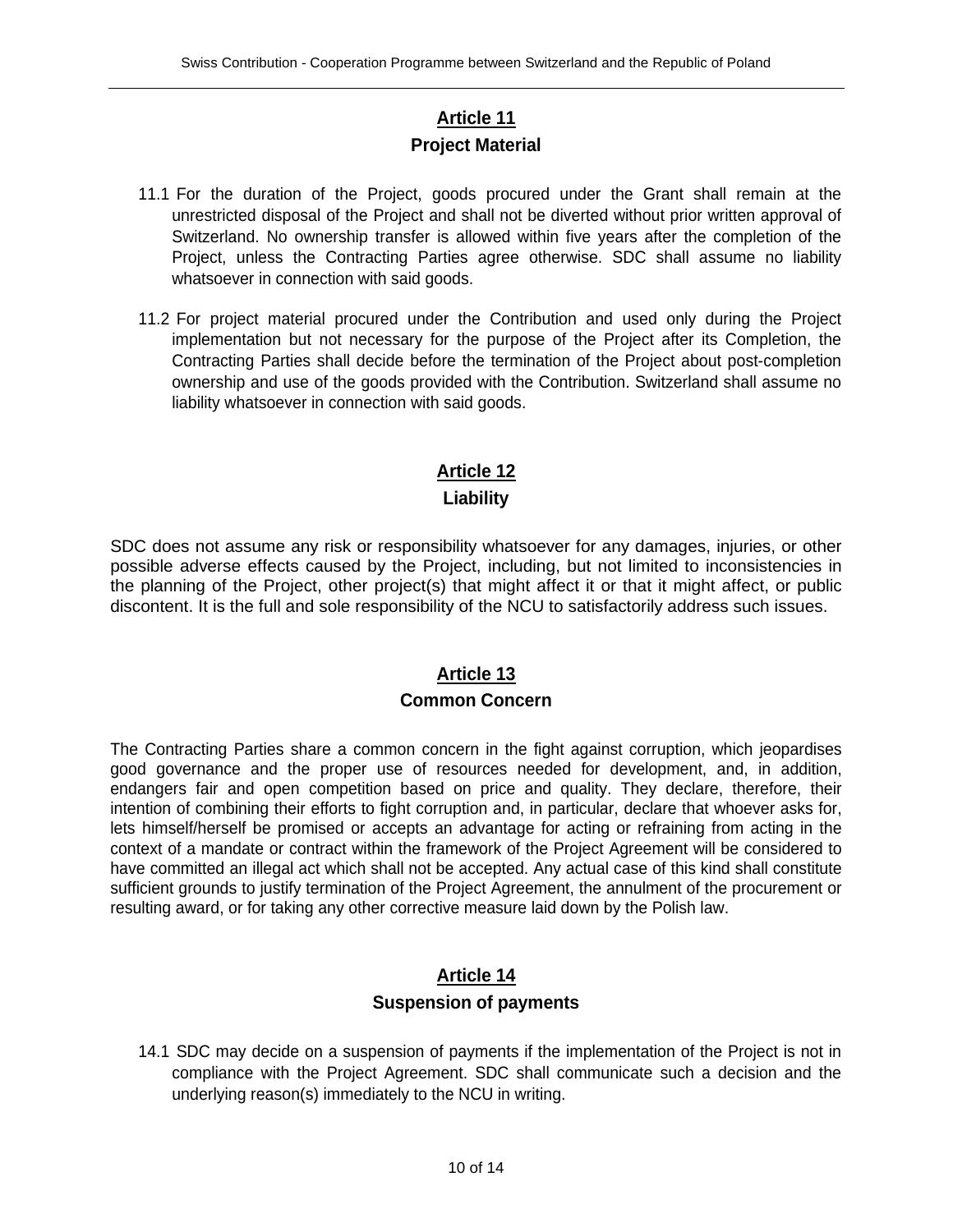# **Article 11 Project Material**

- 11.1 For the duration of the Project, goods procured under the Grant shall remain at the unrestricted disposal of the Project and shall not be diverted without prior written approval of Switzerland. No ownership transfer is allowed within five years after the completion of the Project, unless the Contracting Parties agree otherwise. SDC shall assume no liability whatsoever in connection with said goods.
- 11.2 For project material procured under the Contribution and used only during the Project implementation but not necessary for the purpose of the Project after its Completion, the Contracting Parties shall decide before the termination of the Project about post-completion ownership and use of the goods provided with the Contribution. Switzerland shall assume no liability whatsoever in connection with said goods.

# **Article 12**

#### **Liability**

SDC does not assume any risk or responsibility whatsoever for any damages, injuries, or other possible adverse effects caused by the Project, including, but not limited to inconsistencies in the planning of the Project, other project(s) that might affect it or that it might affect, or public discontent. It is the full and sole responsibility of the NCU to satisfactorily address such issues.

### **Article 13 Common Concern**

The Contracting Parties share a common concern in the fight against corruption, which jeopardises good governance and the proper use of resources needed for development, and, in addition, endangers fair and open competition based on price and quality. They declare, therefore, their intention of combining their efforts to fight corruption and, in particular, declare that whoever asks for, lets himself/herself be promised or accepts an advantage for acting or refraining from acting in the context of a mandate or contract within the framework of the Project Agreement will be considered to have committed an illegal act which shall not be accepted. Any actual case of this kind shall constitute sufficient grounds to justify termination of the Project Agreement, the annulment of the procurement or resulting award, or for taking any other corrective measure laid down by the Polish law.

### **Article 14 Suspension of payments**

14.1 SDC may decide on a suspension of payments if the implementation of the Project is not in compliance with the Project Agreement. SDC shall communicate such a decision and the underlying reason(s) immediately to the NCU in writing.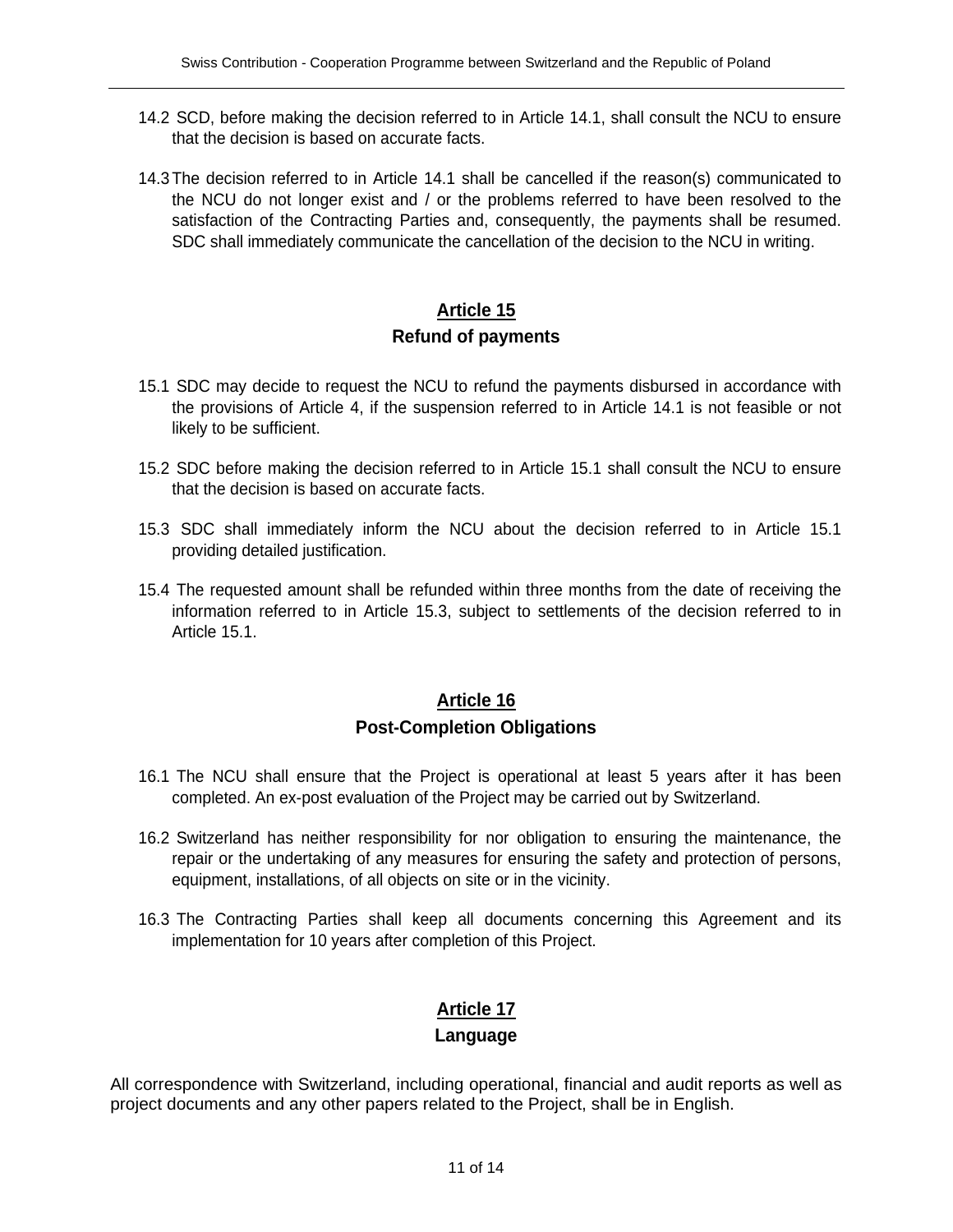- 14.2 SCD, before making the decision referred to in Article 14.1, shall consult the NCU to ensure that the decision is based on accurate facts.
- 14.3 The decision referred to in Article 14.1 shall be cancelled if the reason(s) communicated to the NCU do not longer exist and / or the problems referred to have been resolved to the satisfaction of the Contracting Parties and, consequently, the payments shall be resumed. SDC shall immediately communicate the cancellation of the decision to the NCU in writing.

# **Article 15 Refund of payments**

- 15.1 SDC may decide to request the NCU to refund the payments disbursed in accordance with the provisions of Article 4, if the suspension referred to in Article 14.1 is not feasible or not likely to be sufficient.
- 15.2 SDC before making the decision referred to in Article 15.1 shall consult the NCU to ensure that the decision is based on accurate facts.
- 15.3 SDC shall immediately inform the NCU about the decision referred to in Article 15.1 providing detailed justification.
- 15.4 The requested amount shall be refunded within three months from the date of receiving the information referred to in Article 15.3, subject to settlements of the decision referred to in Article 15.1.

### **Article 16 Post-Completion Obligations**

- 16.1 The NCU shall ensure that the Project is operational at least 5 years after it has been completed. An ex-post evaluation of the Project may be carried out by Switzerland.
- 16.2 Switzerland has neither responsibility for nor obligation to ensuring the maintenance, the repair or the undertaking of any measures for ensuring the safety and protection of persons, equipment, installations, of all objects on site or in the vicinity.
- 16.3 The Contracting Parties shall keep all documents concerning this Agreement and its implementation for 10 years after completion of this Project.

### **Article 17**

#### **Language**

All correspondence with Switzerland, including operational, financial and audit reports as well as project documents and any other papers related to the Project, shall be in English.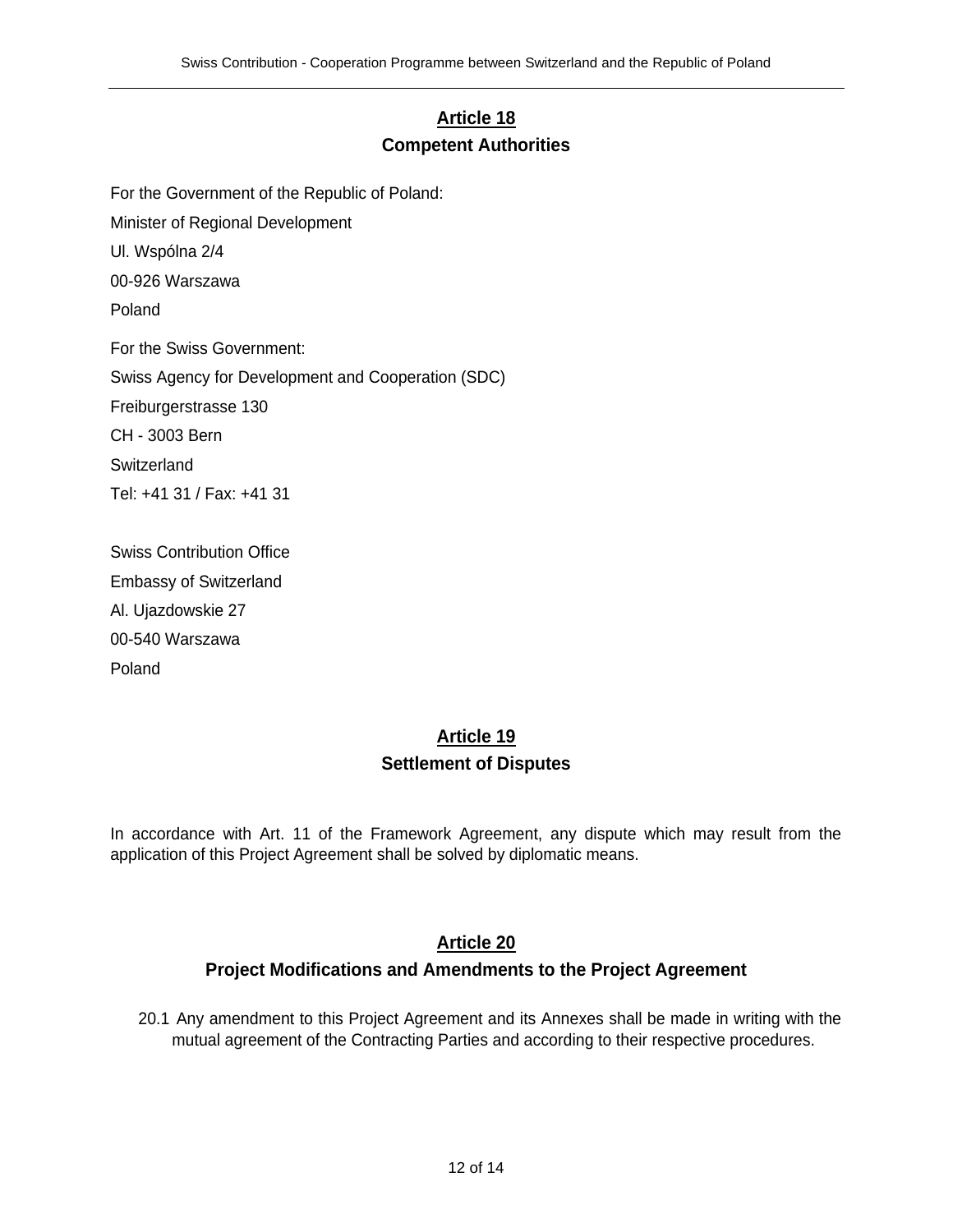# **Article 18 Competent Authorities**

For the Government of the Republic of Poland:

Minister of Regional Development

Ul. Wspólna 2/4

00-926 Warszawa

Poland

For the Swiss Government: Swiss Agency for Development and Cooperation (SDC) Freiburgerstrasse 130 CH - 3003 Bern **Switzerland** Tel: +41 31 / Fax: +41 31

Swiss Contribution Office Embassy of Switzerland Al. Ujazdowskie 27 00-540 Warszawa Poland

# **Article 19 Settlement of Disputes**

In accordance with Art. 11 of the Framework Agreement, any dispute which may result from the application of this Project Agreement shall be solved by diplomatic means.

#### **Article 20**

#### **Project Modifications and Amendments to the Project Agreement**

20.1 Any amendment to this Project Agreement and its Annexes shall be made in writing with the mutual agreement of the Contracting Parties and according to their respective procedures.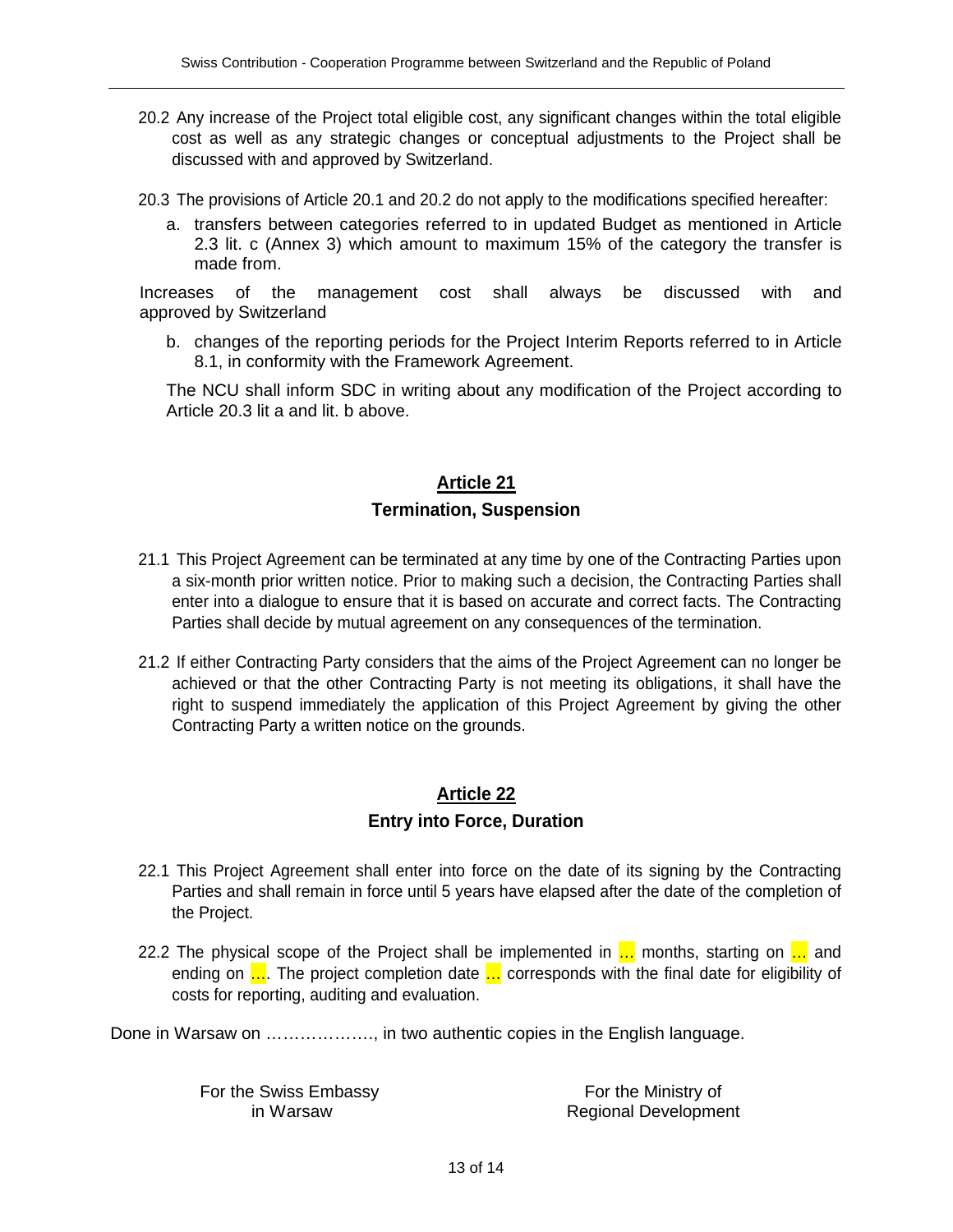- 20.2 Any increase of the Project total eligible cost, any significant changes within the total eligible cost as well as any strategic changes or conceptual adjustments to the Project shall be discussed with and approved by Switzerland.
- 20.3 The provisions of Article 20.1 and 20.2 do not apply to the modifications specified hereafter:
	- a. transfers between categories referred to in updated Budget as mentioned in Article 2.3 lit. c (Annex 3) which amount to maximum 15% of the category the transfer is made from.

 Increases of the management cost shall always be discussed with and approved by Switzerland

b. changes of the reporting periods for the Project Interim Reports referred to in Article 8.1, in conformity with the Framework Agreement.

The NCU shall inform SDC in writing about any modification of the Project according to Article 20.3 lit a and lit. b above.

#### **Article 21**

#### **Termination, Suspension**

- 21.1 This Project Agreement can be terminated at any time by one of the Contracting Parties upon a six-month prior written notice. Prior to making such a decision, the Contracting Parties shall enter into a dialogue to ensure that it is based on accurate and correct facts. The Contracting Parties shall decide by mutual agreement on any consequences of the termination.
- 21.2 If either Contracting Party considers that the aims of the Project Agreement can no longer be achieved or that the other Contracting Party is not meeting its obligations, it shall have the right to suspend immediately the application of this Project Agreement by giving the other Contracting Party a written notice on the grounds.

### **Article 22 Entry into Force, Duration**

- 22.1 This Project Agreement shall enter into force on the date of its signing by the Contracting Parties and shall remain in force until 5 years have elapsed after the date of the completion of the Project.
- 22.2 The physical scope of the Project shall be implemented in  $\ldots$  months, starting on  $\ldots$  and ending on .... The project completion date ... corresponds with the final date for eligibility of costs for reporting, auditing and evaluation.

Done in Warsaw on ………………., in two authentic copies in the English language.

For the Swiss Embassy in Warsaw

For the Ministry of Regional Development